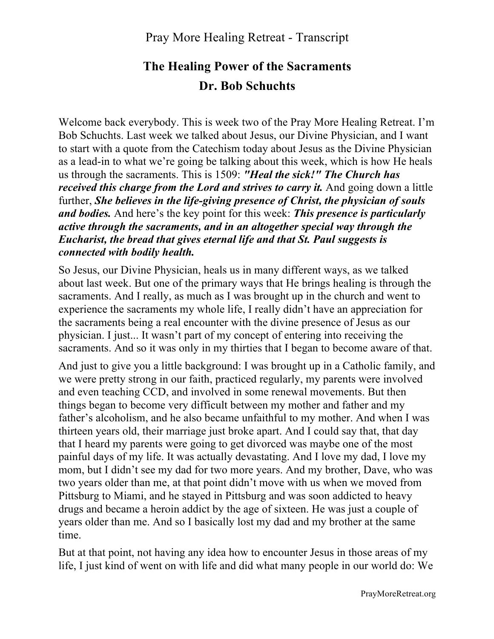# **The Healing Power of the Sacraments Dr. Bob Schuchts**

Welcome back everybody. This is week two of the Pray More Healing Retreat. I'm Bob Schuchts. Last week we talked about Jesus, our Divine Physician, and I want to start with a quote from the Catechism today about Jesus as the Divine Physician as a lead-in to what we're going be talking about this week, which is how He heals us through the sacraments. This is 1509: *"Heal the sick!" The Church has received this charge from the Lord and strives to carry it.* And going down a little further, *She believes in the life-giving presence of Christ, the physician of souls and bodies.* And here's the key point for this week: *This presence is particularly active through the sacraments, and in an altogether special way through the Eucharist, the bread that gives eternal life and that St. Paul suggests is connected with bodily health.*

So Jesus, our Divine Physician, heals us in many different ways, as we talked about last week. But one of the primary ways that He brings healing is through the sacraments. And I really, as much as I was brought up in the church and went to experience the sacraments my whole life, I really didn't have an appreciation for the sacraments being a real encounter with the divine presence of Jesus as our physician. I just... It wasn't part of my concept of entering into receiving the sacraments. And so it was only in my thirties that I began to become aware of that.

And just to give you a little background: I was brought up in a Catholic family, and we were pretty strong in our faith, practiced regularly, my parents were involved and even teaching CCD, and involved in some renewal movements. But then things began to become very difficult between my mother and father and my father's alcoholism, and he also became unfaithful to my mother. And when I was thirteen years old, their marriage just broke apart. And I could say that, that day that I heard my parents were going to get divorced was maybe one of the most painful days of my life. It was actually devastating. And I love my dad, I love my mom, but I didn't see my dad for two more years. And my brother, Dave, who was two years older than me, at that point didn't move with us when we moved from Pittsburg to Miami, and he stayed in Pittsburg and was soon addicted to heavy drugs and became a heroin addict by the age of sixteen. He was just a couple of years older than me. And so I basically lost my dad and my brother at the same time.

But at that point, not having any idea how to encounter Jesus in those areas of my life, I just kind of went on with life and did what many people in our world do: We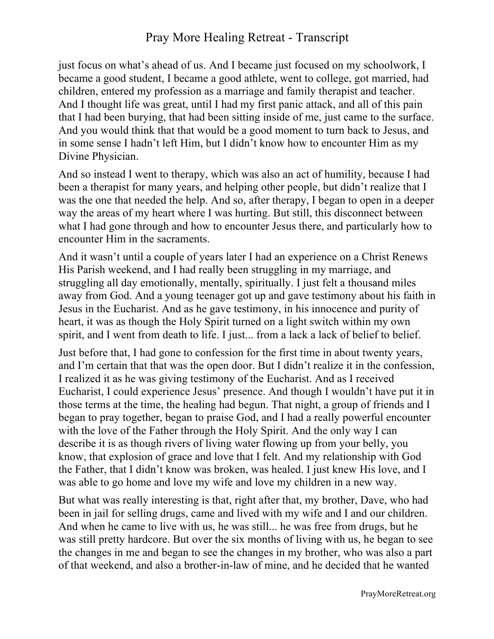just focus on what's ahead of us. And I became just focused on my schoolwork, I became a good student, I became a good athlete, went to college, got married, had children, entered my profession as a marriage and family therapist and teacher. And I thought life was great, until I had my first panic attack, and all of this pain that I had been burying, that had been sitting inside of me, just came to the surface. And you would think that that would be a good moment to turn back to Jesus, and in some sense I hadn't left Him, but I didn't know how to encounter Him as my Divine Physician.

And so instead I went to therapy, which was also an act of humility, because I had been a therapist for many years, and helping other people, but didn't realize that I was the one that needed the help. And so, after therapy, I began to open in a deeper way the areas of my heart where I was hurting. But still, this disconnect between what I had gone through and how to encounter Jesus there, and particularly how to encounter Him in the sacraments.

And it wasn't until a couple of years later I had an experience on a Christ Renews His Parish weekend, and I had really been struggling in my marriage, and struggling all day emotionally, mentally, spiritually. I just felt a thousand miles away from God. And a young teenager got up and gave testimony about his faith in Jesus in the Eucharist. And as he gave testimony, in his innocence and purity of heart, it was as though the Holy Spirit turned on a light switch within my own spirit, and I went from death to life. I just... from a lack a lack of belief to belief.

Just before that, I had gone to confession for the first time in about twenty years, and I'm certain that that was the open door. But I didn't realize it in the confession, I realized it as he was giving testimony of the Eucharist. And as I received Eucharist, I could experience Jesus' presence. And though I wouldn't have put it in those terms at the time, the healing had begun. That night, a group of friends and I began to pray together, began to praise God, and I had a really powerful encounter with the love of the Father through the Holy Spirit. And the only way I can describe it is as though rivers of living water flowing up from your belly, you know, that explosion of grace and love that I felt. And my relationship with God the Father, that I didn't know was broken, was healed. I just knew His love, and I was able to go home and love my wife and love my children in a new way.

But what was really interesting is that, right after that, my brother, Dave, who had been in jail for selling drugs, came and lived with my wife and I and our children. And when he came to live with us, he was still... he was free from drugs, but he was still pretty hardcore. But over the six months of living with us, he began to see the changes in me and began to see the changes in my brother, who was also a part of that weekend, and also a brother-in-law of mine, and he decided that he wanted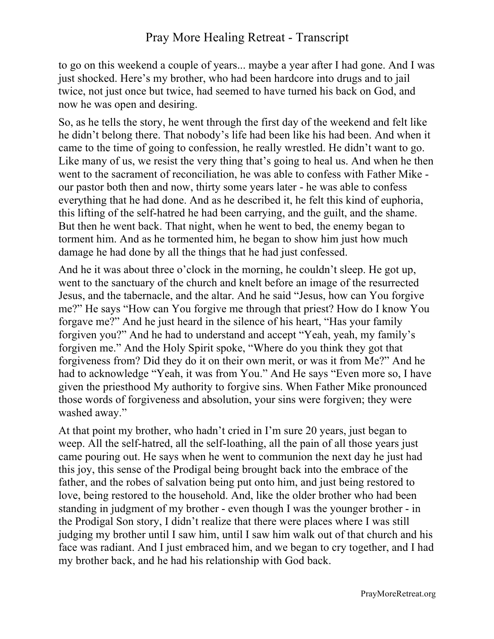to go on this weekend a couple of years... maybe a year after I had gone. And I was just shocked. Here's my brother, who had been hardcore into drugs and to jail twice, not just once but twice, had seemed to have turned his back on God, and now he was open and desiring.

So, as he tells the story, he went through the first day of the weekend and felt like he didn't belong there. That nobody's life had been like his had been. And when it came to the time of going to confession, he really wrestled. He didn't want to go. Like many of us, we resist the very thing that's going to heal us. And when he then went to the sacrament of reconciliation, he was able to confess with Father Mike our pastor both then and now, thirty some years later - he was able to confess everything that he had done. And as he described it, he felt this kind of euphoria, this lifting of the self-hatred he had been carrying, and the guilt, and the shame. But then he went back. That night, when he went to bed, the enemy began to torment him. And as he tormented him, he began to show him just how much damage he had done by all the things that he had just confessed.

And he it was about three o'clock in the morning, he couldn't sleep. He got up, went to the sanctuary of the church and knelt before an image of the resurrected Jesus, and the tabernacle, and the altar. And he said "Jesus, how can You forgive me?" He says "How can You forgive me through that priest? How do I know You forgave me?" And he just heard in the silence of his heart, "Has your family forgiven you?" And he had to understand and accept "Yeah, yeah, my family's forgiven me." And the Holy Spirit spoke, "Where do you think they got that forgiveness from? Did they do it on their own merit, or was it from Me?" And he had to acknowledge "Yeah, it was from You." And He says "Even more so, I have given the priesthood My authority to forgive sins. When Father Mike pronounced those words of forgiveness and absolution, your sins were forgiven; they were washed away."

At that point my brother, who hadn't cried in I'm sure 20 years, just began to weep. All the self-hatred, all the self-loathing, all the pain of all those years just came pouring out. He says when he went to communion the next day he just had this joy, this sense of the Prodigal being brought back into the embrace of the father, and the robes of salvation being put onto him, and just being restored to love, being restored to the household. And, like the older brother who had been standing in judgment of my brother - even though I was the younger brother - in the Prodigal Son story, I didn't realize that there were places where I was still judging my brother until I saw him, until I saw him walk out of that church and his face was radiant. And I just embraced him, and we began to cry together, and I had my brother back, and he had his relationship with God back.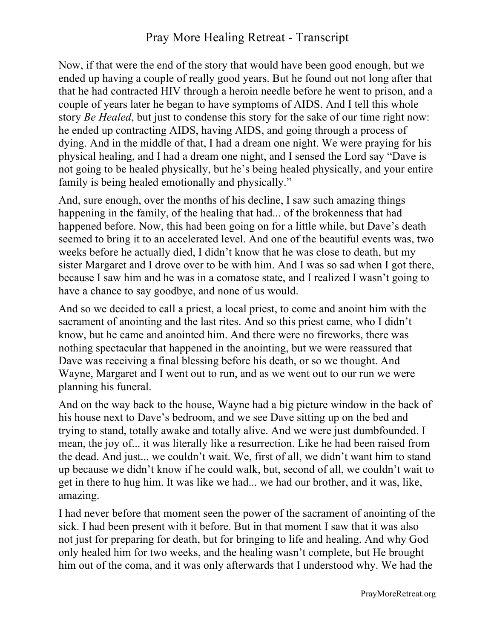Now, if that were the end of the story that would have been good enough, but we ended up having a couple of really good years. But he found out not long after that that he had contracted HIV through a heroin needle before he went to prison, and a couple of years later he began to have symptoms of AIDS. And I tell this whole story *Be Healed*, but just to condense this story for the sake of our time right now: he ended up contracting AIDS, having AIDS, and going through a process of dying. And in the middle of that, I had a dream one night. We were praying for his physical healing, and I had a dream one night, and I sensed the Lord say "Dave is not going to be healed physically, but he's being healed physically, and your entire family is being healed emotionally and physically."

And, sure enough, over the months of his decline, I saw such amazing things happening in the family, of the healing that had... of the brokenness that had happened before. Now, this had been going on for a little while, but Dave's death seemed to bring it to an accelerated level. And one of the beautiful events was, two weeks before he actually died, I didn't know that he was close to death, but my sister Margaret and I drove over to be with him. And I was so sad when I got there, because I saw him and he was in a comatose state, and I realized I wasn't going to have a chance to say goodbye, and none of us would.

And so we decided to call a priest, a local priest, to come and anoint him with the sacrament of anointing and the last rites. And so this priest came, who I didn't know, but he came and anointed him. And there were no fireworks, there was nothing spectacular that happened in the anointing, but we were reassured that Dave was receiving a final blessing before his death, or so we thought. And Wayne, Margaret and I went out to run, and as we went out to our run we were planning his funeral.

And on the way back to the house, Wayne had a big picture window in the back of his house next to Dave's bedroom, and we see Dave sitting up on the bed and trying to stand, totally awake and totally alive. And we were just dumbfounded. I mean, the joy of... it was literally like a resurrection. Like he had been raised from the dead. And just... we couldn't wait. We, first of all, we didn't want him to stand up because we didn't know if he could walk, but, second of all, we couldn't wait to get in there to hug him. It was like we had... we had our brother, and it was, like, amazing.

I had never before that moment seen the power of the sacrament of anointing of the sick. I had been present with it before. But in that moment I saw that it was also not just for preparing for death, but for bringing to life and healing. And why God only healed him for two weeks, and the healing wasn't complete, but He brought him out of the coma, and it was only afterwards that I understood why. We had the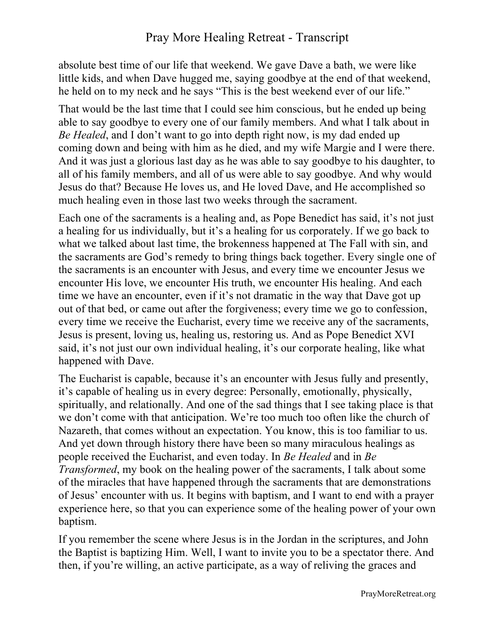absolute best time of our life that weekend. We gave Dave a bath, we were like little kids, and when Dave hugged me, saying goodbye at the end of that weekend, he held on to my neck and he says "This is the best weekend ever of our life."

That would be the last time that I could see him conscious, but he ended up being able to say goodbye to every one of our family members. And what I talk about in *Be Healed*, and I don't want to go into depth right now, is my dad ended up coming down and being with him as he died, and my wife Margie and I were there. And it was just a glorious last day as he was able to say goodbye to his daughter, to all of his family members, and all of us were able to say goodbye. And why would Jesus do that? Because He loves us, and He loved Dave, and He accomplished so much healing even in those last two weeks through the sacrament.

Each one of the sacraments is a healing and, as Pope Benedict has said, it's not just a healing for us individually, but it's a healing for us corporately. If we go back to what we talked about last time, the brokenness happened at The Fall with sin, and the sacraments are God's remedy to bring things back together. Every single one of the sacraments is an encounter with Jesus, and every time we encounter Jesus we encounter His love, we encounter His truth, we encounter His healing. And each time we have an encounter, even if it's not dramatic in the way that Dave got up out of that bed, or came out after the forgiveness; every time we go to confession, every time we receive the Eucharist, every time we receive any of the sacraments, Jesus is present, loving us, healing us, restoring us. And as Pope Benedict XVI said, it's not just our own individual healing, it's our corporate healing, like what happened with Dave.

The Eucharist is capable, because it's an encounter with Jesus fully and presently, it's capable of healing us in every degree: Personally, emotionally, physically, spiritually, and relationally. And one of the sad things that I see taking place is that we don't come with that anticipation. We're too much too often like the church of Nazareth, that comes without an expectation. You know, this is too familiar to us. And yet down through history there have been so many miraculous healings as people received the Eucharist, and even today. In *Be Healed* and in *Be Transformed*, my book on the healing power of the sacraments, I talk about some of the miracles that have happened through the sacraments that are demonstrations of Jesus' encounter with us. It begins with baptism, and I want to end with a prayer experience here, so that you can experience some of the healing power of your own baptism.

If you remember the scene where Jesus is in the Jordan in the scriptures, and John the Baptist is baptizing Him. Well, I want to invite you to be a spectator there. And then, if you're willing, an active participate, as a way of reliving the graces and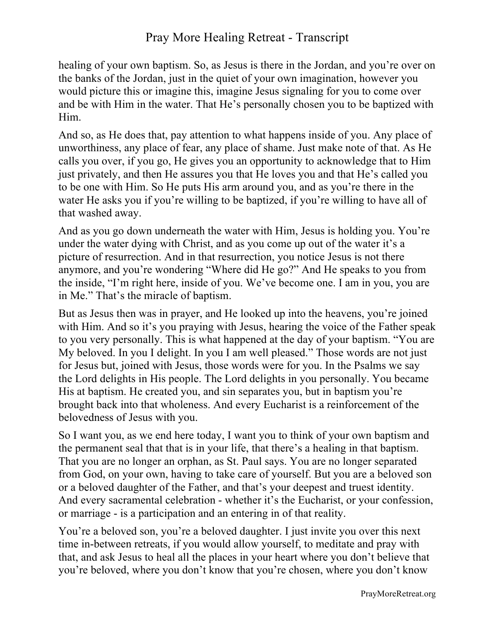healing of your own baptism. So, as Jesus is there in the Jordan, and you're over on the banks of the Jordan, just in the quiet of your own imagination, however you would picture this or imagine this, imagine Jesus signaling for you to come over and be with Him in the water. That He's personally chosen you to be baptized with Him.

And so, as He does that, pay attention to what happens inside of you. Any place of unworthiness, any place of fear, any place of shame. Just make note of that. As He calls you over, if you go, He gives you an opportunity to acknowledge that to Him just privately, and then He assures you that He loves you and that He's called you to be one with Him. So He puts His arm around you, and as you're there in the water He asks you if you're willing to be baptized, if you're willing to have all of that washed away.

And as you go down underneath the water with Him, Jesus is holding you. You're under the water dying with Christ, and as you come up out of the water it's a picture of resurrection. And in that resurrection, you notice Jesus is not there anymore, and you're wondering "Where did He go?" And He speaks to you from the inside, "I'm right here, inside of you. We've become one. I am in you, you are in Me." That's the miracle of baptism.

But as Jesus then was in prayer, and He looked up into the heavens, you're joined with Him. And so it's you praying with Jesus, hearing the voice of the Father speak to you very personally. This is what happened at the day of your baptism. "You are My beloved. In you I delight. In you I am well pleased." Those words are not just for Jesus but, joined with Jesus, those words were for you. In the Psalms we say the Lord delights in His people. The Lord delights in you personally. You became His at baptism. He created you, and sin separates you, but in baptism you're brought back into that wholeness. And every Eucharist is a reinforcement of the belovedness of Jesus with you.

So I want you, as we end here today, I want you to think of your own baptism and the permanent seal that that is in your life, that there's a healing in that baptism. That you are no longer an orphan, as St. Paul says. You are no longer separated from God, on your own, having to take care of yourself. But you are a beloved son or a beloved daughter of the Father, and that's your deepest and truest identity. And every sacramental celebration - whether it's the Eucharist, or your confession, or marriage - is a participation and an entering in of that reality.

You're a beloved son, you're a beloved daughter. I just invite you over this next time in-between retreats, if you would allow yourself, to meditate and pray with that, and ask Jesus to heal all the places in your heart where you don't believe that you're beloved, where you don't know that you're chosen, where you don't know